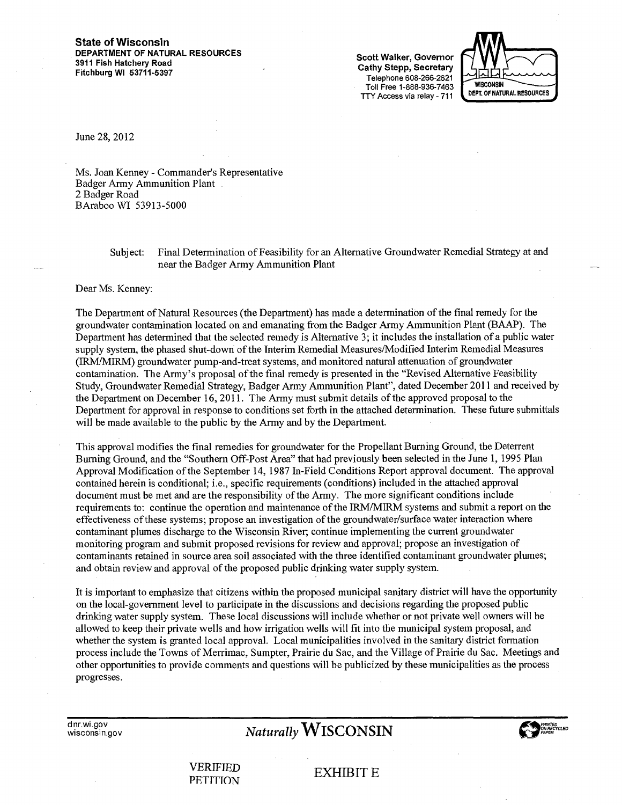#### **State of Wisconsin DEPARTMENT OF NATURAL RESOURCES 3911 Fish Hatchery Road Fitchburg WI 53711-5397**

Scott Walker, Governor Cathy Stepp, Secretary Telephone 608-266-2621 Toll Free 1-888-936-7463 TTY Access via relay -711



June 28, 2012

Ms. Joan Kenney - Commander's Representative Badger Army Ammunition Plant 2 Badger Road BAraboo WI 53913-5000

> Subject: Final Determination of Feasibility for an Alternative Groundwater Remedial Strategy at and near the Badger Army Ammunition Plant

Dear Ms. Kenney:

The Department of Natural Resources (the Department) has made a determination of the final remedy for the groundwater contamination located on and emanating from the Badger Army Ammunition Plant (BAAP). The Department has determined that the selected remedy is Alternative 3; it includes the installation of a public water supply system, the phased shut-down of the Interim Remedial Measures/Modified Interim Remedial Measures (IRM/MIRM) groundwater pump-and-treat systems, and monitored natural attenuation of groundwater contamination. The Army's proposal of the final remedy is presented in the "Revised Alternative Feasibility Study, Groundwater Remedial Strategy, Badger Army Ammunition Plant", dated December 2011 and received by the Department on December 16, 2011. The Army must submit details of the approved proposal to the Department for approval in response to conditions set forth in the attached determination. These future submittals will be made available to the public by the Army and by the Department.

This approval modifies the final remedies for groundwater for the Propellant Burning Ground, the Deterrent Burning Ground, and the "Southern Off-Post Area" that had previously been selected in the June 1, 1995 Plan Approval Modification of the September 14, 1987 In-Field Conditions Report approval document. The approval contained herein is conditional; i.e., specific requirements (conditions) included in the attached approval document must be met and are the responsibility of the Army. The more significant conditions include requirements to: continue the operation and maintenance of the 1RM/M1RM systems and submit a report on the effectiveness of these systems; propose an investigation of the groundwater/surface water interaction where contaminant plumes discharge to the Wisconsin River; continue implementing the current groundwater monitoring program and submit proposed revisions for review and approval; propose an investigation of contaminants retained in source area soil associated with the three identified contaminant groundwater plumes; and obtain review and approval of the proposed public drinking water supply system.

It is important to emphasize that citizens within the proposed municipal sanitary district will have the opportunity on the local-government level to participate in the discussions and decisions regarding the proposed public drinking water supply system. These local discussions will include whether or not private well owners will be allowed to keep their private wells and how irrigation wells will fit into the municipal system proposal, and whether the system is granted local approval. Local municipalities involved in the sanitary district formation process include the Towns of Merrimac, Sumpter, Prairie du Sac, and the Village of Prairie du Sac. Meetings and other opportunities to provide comments and questions will be publicized by these municipalities as the process progresses.

dnr.wi.gov<br>wisconsin.gov

# $Naturally WISCONSIN$



VERIFIED VERIFIED EXHIBIT E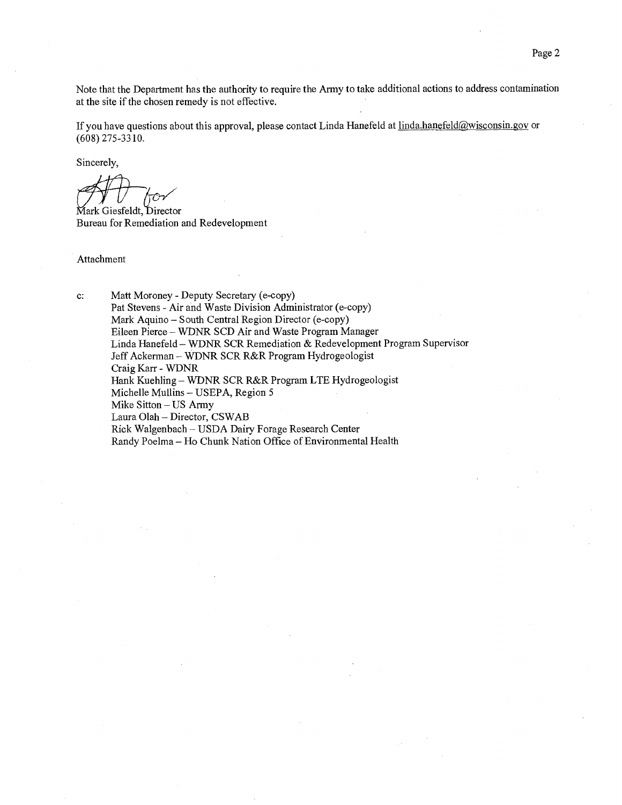Note that the Department has the authority to require the Army to take additional actions to address contamination at the site if the chosen remedy is not effective.

If you have questions about this approval, please contact Linda Hanefeld at linda.hanefeld@wisconsin.gov or (608) 275-3310.

Sincerely,

Mark Giesfeldt, Director Bureau for Remediation and Redevelopment

Attachment

c: Matt Moroney - Deputy Secretary (e-copy) Pat Stevens - Air and Waste Division Administrator (e-copy) Mark Aquino — South Central Region Director (e-copy) Eileen Pierce — WDNR SCD Air and Waste Program Manager Linda Hanefeld — WDNR SCR Remediation & Redevelopment Program Supervisor Jeff Ackerman — WDNR SCR R&R Program Hydrogeologist Craig Karr - WDNR Hank Kuehling — WDNR SCR R&R Program LTE Hydrogeologist Michelle Mullins — USEPA, Region 5 Mike Sitton — US Army Laura Olah — Director, CSWAB Rick Walgenbach — USDA Dairy Forage Research Center Randy Poelma — Ho Chunk Nation Office of Environmental Health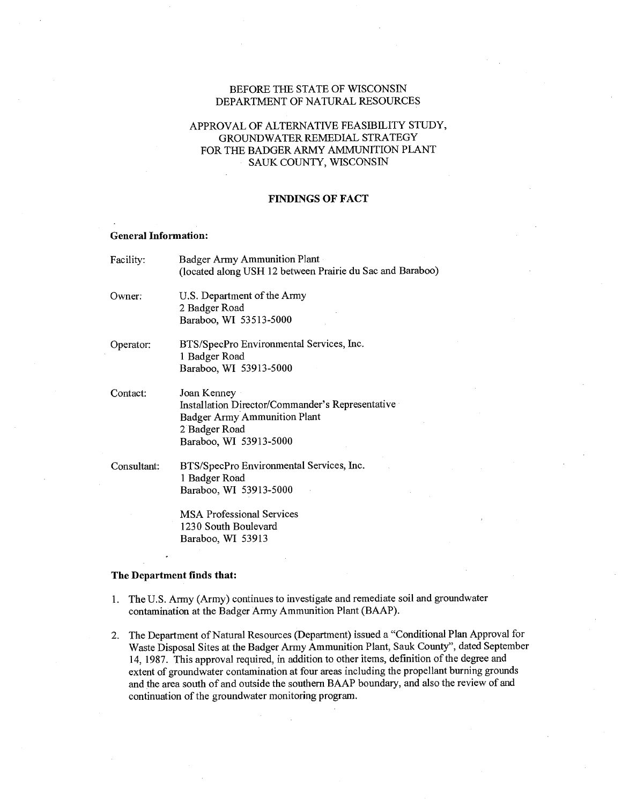## BEFORE THE STATE OF WISCONSIN DEPARTMENT OF NATURAL RESOURCES

# APPROVAL OF ALTERNATIVE FEASIBILITY STUDY, GROUNDWATER REMEDIAL STRATEGY FOR THE BADGER ARMY AMMUNITION PLANT SAUK COUNTY, WISCONSIN

## FINDINGS OF FACT

#### General Information:

| Facility:   | Badger Army Ammunition Plant<br>(located along USH 12 between Prairie du Sac and Baraboo)                                                         |
|-------------|---------------------------------------------------------------------------------------------------------------------------------------------------|
| Owner:      | U.S. Department of the Army<br>2 Badger Road<br>Baraboo, WI 53513-5000                                                                            |
| Operator:   | BTS/SpecPro Environmental Services, Inc.<br>1 Badger Road<br>Baraboo, WI 53913-5000                                                               |
| Contact:    | Joan Kenney<br>Installation Director/Commander's Representative<br><b>Badger Army Ammunition Plant</b><br>2 Badger Road<br>Baraboo, WI 53913-5000 |
| Consultant: | BTS/SpecPro Environmental Services, Inc.<br>1 Badger Road<br>Baraboo, WI 53913-5000                                                               |
|             | $3.50 + 1.2$ $1.2 - 1.2$                                                                                                                          |

MSA Professional Services 1230 South Boulevard Baraboo, WI 53913

#### The Department finds that:

- 1. The U.S. Army (Army) continues to investigate and remediate soil and groundwater contamination at the Badger Army Ammunition Plant (BAAP).
- 2. The Department of Natural Resources (Department) issued a "Conditional Plan Approval for Waste Disposal Sites at the Badger Army Ammunition Plant, Sauk County", dated September 14, 1987. This approval required, in addition to other items, definition of the degree and extent of groundwater contamination at four areas including the propellant burning grounds and the area south of and outside the southern BAAP boundary, and also the review of and continuation of the groundwater monitoring program.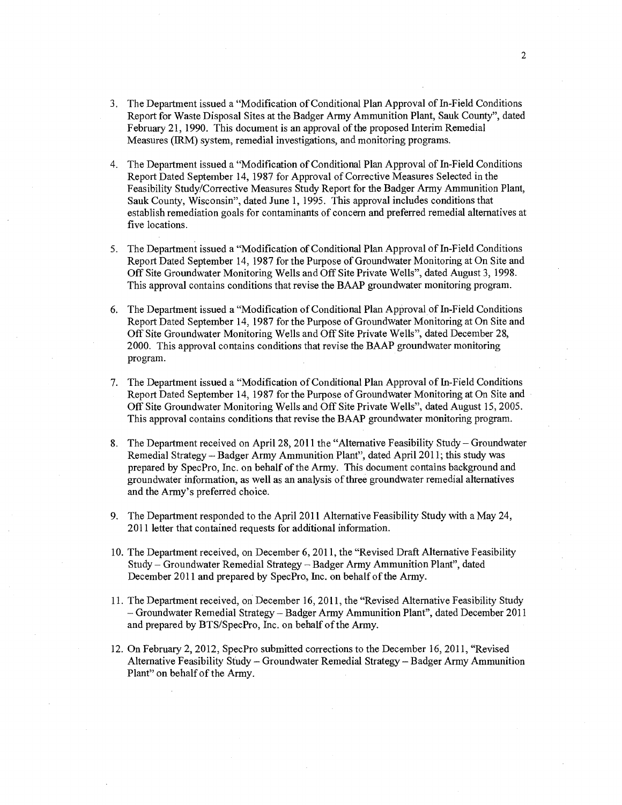- 3. The Department issued a "Modification of Conditional Plan Approval of In-Field Conditions Report for Waste Disposal Sites at the Badger Army Ammunition Plant, Sauk County", dated February 21, 1990. This document is an approval of the proposed Interim Remedial Measures (IRM) system, remedial investigations, and monitoring programs.
- 4. The Department issued a "Modification of Conditional Plan Approval of In-Field Conditions Report Dated September 14, 1987 for Approval of Corrective Measures Selected in the Feasibility Study/Corrective Measures Study Report for the Badger Army Ammunition Plant, Sauk County, Wisconsin", dated June 1, 1995. This approval includes conditions that establish remediation goals for contaminants of concern and preferred remedial alternatives at five locations.
- 5. The Department issued a "Modification of Conditional Plan Approval of In-Field Conditions Report Dated September 14, 1987 for the Purpose of Groundwater Monitoring at On Site and Off Site Groundwater Monitoring Wells and Off Site Private Wells", dated August 3, 1998. This approval contains conditions that revise the BAAP groundwater monitoring program.
- 6. The Department issued a "Modification of Conditional Plan Approval of In-Field Conditions Report Dated September 14, 1987 for the Purpose of Groundwater Monitoring at On Site and Off Site Groundwater Monitoring Wells and Off Site Private Wells", dated December 28, 2000. This approval contains conditions that revise the BAAP groundwater monitoring program.
- 7. The Department issued a "Modification of Conditional Plan Approval of In-Field Conditions Report Dated September 14, 1987 for the Purpose of Groundwater Monitoring at On Site and Off Site Groundwater Monitoring Wells and Off Site Private Wells", dated August 15, 2005. This approval contains conditions that revise the BAAP groundwater monitoring program.
- 8. The Department received on April 28, 2011 the "Alternative Feasibility Study Groundwater Remedial Strategy — Badger Army Ammunition Plant", dated April 2011; this study was prepared by SpecPro, Inc. on behalf of the Army. This document contains background and groundwater information, as well as an analysis of three groundwater remedial alternatives and the Army's preferred choice.
- 9. The Department responded to the April 2011 Alternative Feasibility Study with a May 24, 2011 letter that contained requests for additional information.
- 10. The Department received, on December 6, 2011, the "Revised Draft Alternative Feasibility Study — Groundwater Remedial Strategy — Badger Army Ammunition Plant", dated December 2011 and prepared by SpecPro, Inc. on behalf of the Army.
- 11. The Department received, on December 16, 2011, the "Revised Alternative Feasibility Study — Groundwater Remedial Strategy— Badger Army Ammunition Plant", dated December 2011 and prepared by BTS/SpecPro, Inc. on behalf of the Army.
- 12. On February 2, 2012, SpecPro submitted corrections to the December 16, 2011, "Revised Alternative Feasibility Study — Groundwater Remedial Strategy — Badger Army Ammunition Plant" on behalf of the Army.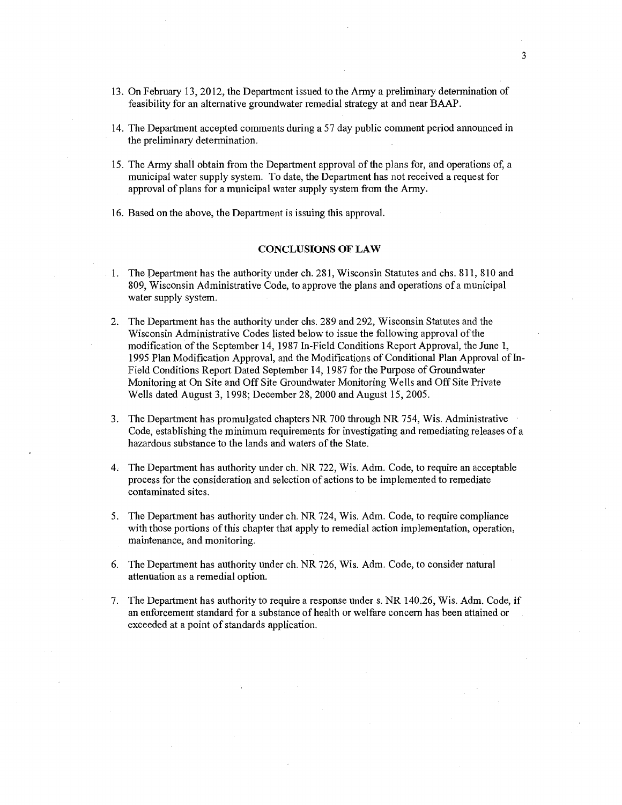- 13. On February 13, 2012, the Department issued to the Army a preliminary determination of feasibility for an alternative groundwater remedial strategy at and near BAAP.
- 14. The Department accepted comments during a 57 day public comment period announced in the preliminary determination.
- 15. The Army shall obtain from the Department approval of the plans for, and operations of, a municipal water supply system. To date, the Department has not received a request for approval of plans for a municipal water supply system from the Army.
- 16. Based on the above, the Department is issuing this approval.

### CONCLUSIONS OF LAW

- 1. The Department has the authority under ch. 281, Wisconsin Statutes and chs. 811, 810 and 809, Wisconsin Administrative Code, to approve the plans and operations of a municipal water supply system.
- 2. The Department has the authority under chs. 289 and 292, Wisconsin Statutes and the Wisconsin Administrative Codes listed below to issue the following approval of the modification of the September 14, 1987 In-Field Conditions Report Approval, the June 1, 1995 Plan Modification Approval, and the Modifications of Conditional Plan Approval of In-Field Conditions Report Dated September 14, 1987 for the Purpose of Groundwater Monitoring at On Site and Off Site Groundwater Monitoring Wells and Off Site Private Wells dated August 3, 1998; December 28, 2000 and August 15, 2005.
- 3. The Department has promulgated chapters NR 700 through NR 754, Wis. Administrative Code, establishing the minimum requirements for investigating and remediating releases of a hazardous substance to the lands and waters of the State.
- 4. The Department has authority under ch. NR 722, Wis. Adm. Code, to require an acceptable process for the consideration and selection of actions to be implemented to remediate contaminated sites.
- 5. The Department has authority under ch. NR 724, Wis. Adm. Code, to require compliance with those portions of this chapter that apply to remedial action implementation, operation, maintenance, and monitoring.
- 6. The Department has authority under ch. NR 726, Wis. Adm. Code, to consider natural attenuation as a remedial option.
- 7. The Department has authority to require a response under s. NR 140.26, Wis. Adm. Code, if an enforcement standard for a substance of health or welfare concern has been attained or exceeded at a point of standards application.

3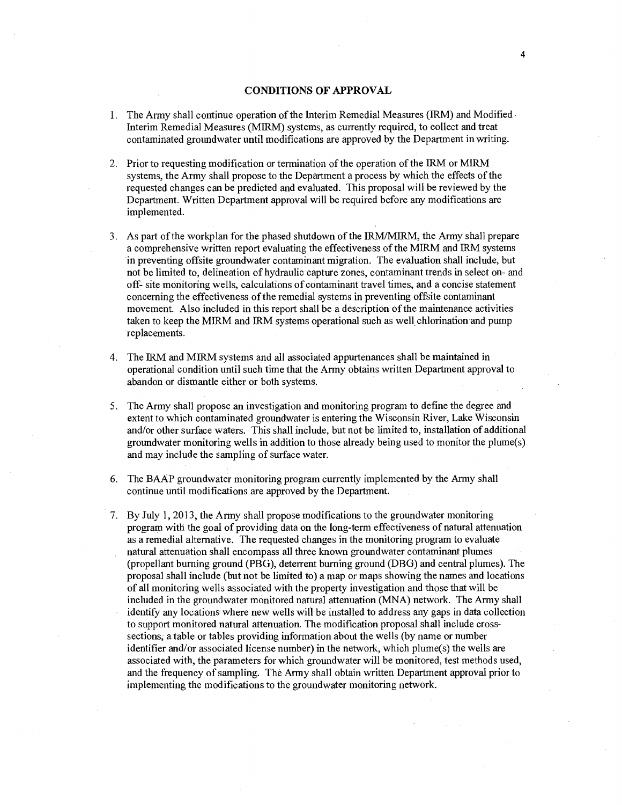## CONDITIONS OF APPROVAL

- 1. The Army shall continue operation of the Interim Remedial Measures (IRM) and Modified Interim Remedial Measures (MIRM) systems, as currently required, to collect and treat contaminated groundwater until modifications are approved by the Department in writing.
- 2. Prior to requesting modification or termination of the operation of the IRM or M1RM systems, the Army shall propose to the Department a process by which the effects of the requested changes can be predicted and evaluated. This proposal will be reviewed by the Department. Written Department approval will be required before any modifications are implemented.
- 3. As part of the workplan for the phased shutdown of the IRM/MIRM, the Army shall prepare a comprehensive written report evaluating the effectiveness of the MLRM and IRM systems in preventing offsite groundwater contaminant migration. The evaluation shall include, but not be limited to, delineation of hydraulic capture zones, contaminant trends in select on- and off- site monitoring wells, calculations of contaminant travel times, and a concise statement concerning the effectiveness of the remedial systems in preventing offsite contaminant movement. Also included in this report shall be a description of the maintenance activities taken to keep the MIRM and IRM systems operational such as well chlorination and pump replacements.
- 4. The IRM and M1RM systems and all associated appurtenances shall be maintained in operational condition until such time that the Army obtains written Department approval to abandon or dismantle either or both systems.
- 5. The Army shall propose an investigation and monitoring program to define the degree and extent to which contaminated groundwater is entering the Wisconsin River, Lake Wisconsin and/or other surface waters. This shall include, but not be limited to, installation of additional groundwater monitoring wells in addition to those already being used to monitor the plume(s) and may include the sampling of surface water.
- 6. The BAAP groundwater monitoring program currently implemented by the Army shall continue until modifications are approved by the Department.
- 7. By July 1, 2013, the Army shall propose modifications to the groundwater monitoring program with the goal of providing data on the long-term effectiveness of natural attenuation as a remedial alternative. The requested changes in the monitoring program to evaluate natural attenuation shall encompass all three known groundwater contaminant plumes (propellant burning ground (PBG), deterrent burning ground (DBG) and central plumes). The proposal shall include (but not be limited to) a map or maps showing the names and locations of all monitoring wells associated with the property investigation and those that will be included in the groundwater monitored natural attenuation (MNA) network. The Army shall identify any locations where new wells will be installed to address any gaps in data collection to support monitored natural attenuation. The modification proposal shall include crosssections, a table or tables providing information about the wells (by name or number identifier and/or associated license number) in the network, which plume(s) the wells are associated with, the parameters for which groundwater will be monitored, test methods used, and the frequency of sampling. The Army shall obtain written Department approval prior to implementing the modifications to the groundwater monitoring network.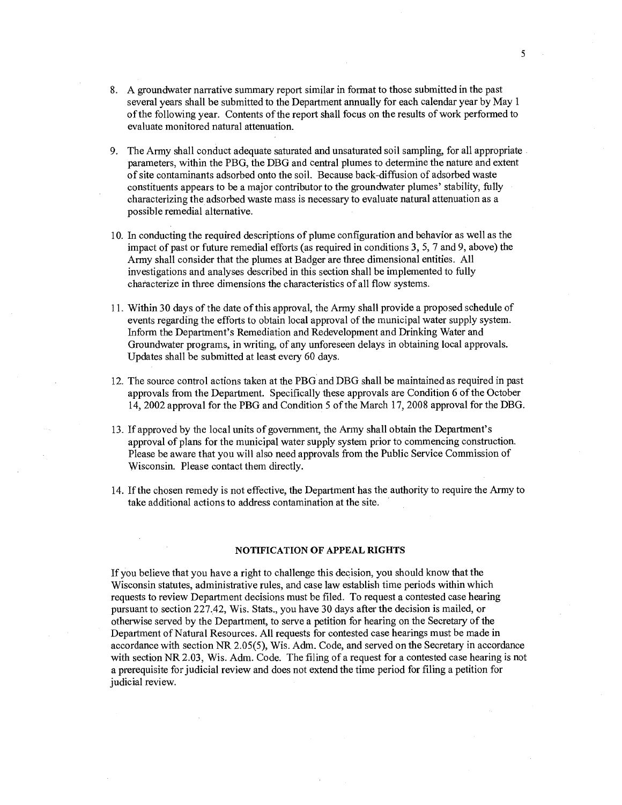- 8. A groundwater narrative summary report similar in format to those submitted in the past several years shall be submitted to the Department annually for each calendar year by May 1 of the following year. Contents of the report shall focus on the results of work performed to evaluate monitored natural attenuation.
- 9. The Army shall conduct adequate saturated and unsaturated soil sampling, for all appropriate parameters, within the PBG, the DBG and central plumes to determine the nature and extent of site contaminants adsorbed onto the soil. Because back-diffusion of adsorbed waste constituents appears to be a major contributor to the groundwater plumes' stability, fully characterizing the adsorbed waste mass is necessary to evaluate natural attenuation as a possible remedial alternative.
- 10. In conducting the required descriptions of plume configuration and behavior as well as the impact of past or future remedial efforts (as required in conditions 3, 5, 7 and 9, above) the Army shall consider that the plumes at Badger are three dimensional entities. All investigations and analyses described in this section shall be implemented to fully characterize in three dimensions the characteristics of all flow systems.
- 11. Within 30 days of the date of this approval, the Army shall provide a proposed schedule of events regarding the efforts to obtain local approval of the municipal water supply system. Inform the Department's Remediation and Redevelopment and Drinking Water and Groundwater programs, in writing, of any unforeseen delays in obtaining local approvals. Updates shall be submitted at least every 60 days.
- 12. The source control actions taken at the PBG and DBG shall be maintained as required in past approvals from the Department. Specifically these approvals are Condition 6 of the October 14, 2002 approval for the PBG and Condition 5 of the March 17, 2008 approval for the DBG.
- 13. If approved by the local units of government, the Army shall obtain the Department's approval of plans for the municipal water supply system prior to commencing construction. Please be aware that you will also need approvals from the Public Service Commission of Wisconsin. Please contact them directly.
- 14. If the chosen remedy is not effective, the Department has the authority to require the Army to take additional actions to address contamination at the site.

#### NOTIFICATION OF APPEAL RIGHTS

If you believe that you have a right to challenge this decision, you should know that the Wisconsin statutes, administrative rules, and case law establish time periods within which requests to review Department decisions must be filed. To request a contested case hearing pursuant to section 227.42, Wis. Stats., you have 30 days after the decision is mailed, or otherwise served by the Department, to serve a petition for hearing on the Secretary of the Department of Natural Resources. All requests for contested case hearings must be made in accordance with section NR 2.05(5), Wis. Adm. Code, and served on the Secretary in accordance with section NR 2.03, Wis. Adm. Code. The filing of a request for a contested case hearing is not a prerequisite for judicial review and does not extend the time period for filing a petition for judicial review.

5